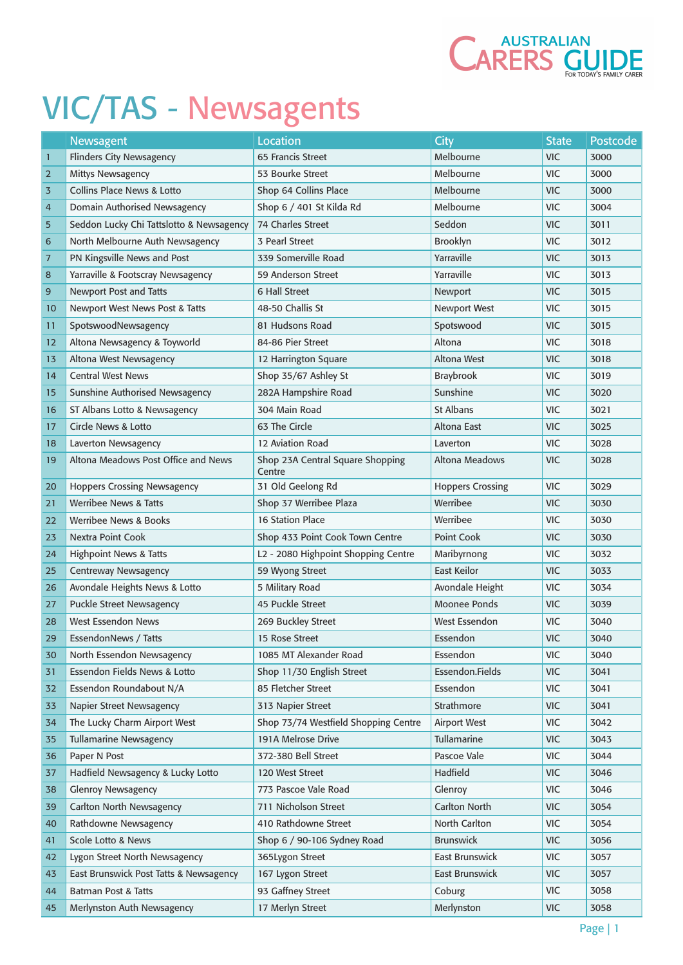

|                | Newsagent                                | <b>Location</b>                            | <b>City</b>             | <b>State</b> | <b>Postcode</b> |
|----------------|------------------------------------------|--------------------------------------------|-------------------------|--------------|-----------------|
| $\mathbf{1}$   | <b>Flinders City Newsagency</b>          | 65 Francis Street                          | Melbourne               | <b>VIC</b>   | 3000            |
| $\overline{2}$ | <b>Mittys Newsagency</b>                 | 53 Bourke Street                           | Melbourne               | <b>VIC</b>   | 3000            |
| 3              | <b>Collins Place News &amp; Lotto</b>    | Shop 64 Collins Place                      | Melbourne               | <b>VIC</b>   | 3000            |
| $\overline{4}$ | Domain Authorised Newsagency             | Shop 6 / 401 St Kilda Rd                   | Melbourne               | <b>VIC</b>   | 3004            |
| 5              | Seddon Lucky Chi Tattslotto & Newsagency | <b>74 Charles Street</b>                   | Seddon                  | <b>VIC</b>   | 3011            |
| 6              | North Melbourne Auth Newsagency          | 3 Pearl Street                             | Brooklyn                | <b>VIC</b>   | 3012            |
| $\overline{7}$ | PN Kingsville News and Post              | 339 Somerville Road                        | Yarraville              | <b>VIC</b>   | 3013            |
| 8              | Yarraville & Footscray Newsagency        | 59 Anderson Street                         | Yarraville              | <b>VIC</b>   | 3013            |
| 9              | Newport Post and Tatts                   | <b>6 Hall Street</b>                       | Newport                 | <b>VIC</b>   | 3015            |
| 10             | Newport West News Post & Tatts           | 48-50 Challis St                           | Newport West            | <b>VIC</b>   | 3015            |
| 11             | SpotswoodNewsagency                      | 81 Hudsons Road                            | Spotswood               | <b>VIC</b>   | 3015            |
| 12             | Altona Newsagency & Toyworld             | 84-86 Pier Street                          | Altona                  | <b>VIC</b>   | 3018            |
| 13             | Altona West Newsagency                   | 12 Harrington Square                       | Altona West             | <b>VIC</b>   | 3018            |
| 14             | <b>Central West News</b>                 | Shop 35/67 Ashley St                       | <b>Braybrook</b>        | <b>VIC</b>   | 3019            |
| 15             | Sunshine Authorised Newsagency           | 282A Hampshire Road                        | Sunshine                | <b>VIC</b>   | 3020            |
| 16             | ST Albans Lotto & Newsagency             | 304 Main Road                              | St Albans               | <b>VIC</b>   | 3021            |
| 17             | <b>Circle News &amp; Lotto</b>           | 63 The Circle                              | Altona East             | <b>VIC</b>   | 3025            |
| 18             | Laverton Newsagency                      | 12 Aviation Road                           | Laverton                | <b>VIC</b>   | 3028            |
| 19             | Altona Meadows Post Office and News      | Shop 23A Central Square Shopping<br>Centre | <b>Altona Meadows</b>   | <b>VIC</b>   | 3028            |
| 20             | <b>Hoppers Crossing Newsagency</b>       | 31 Old Geelong Rd                          | <b>Hoppers Crossing</b> | <b>VIC</b>   | 3029            |
| 21             | <b>Werribee News &amp; Tatts</b>         | Shop 37 Werribee Plaza                     | Werribee                | <b>VIC</b>   | 3030            |
| 22             | Werribee News & Books                    | <b>16 Station Place</b>                    | Werribee                | <b>VIC</b>   | 3030            |
| 23             | <b>Nextra Point Cook</b>                 | Shop 433 Point Cook Town Centre            | Point Cook              | <b>VIC</b>   | 3030            |
| 24             | <b>Highpoint News &amp; Tatts</b>        | L2 - 2080 Highpoint Shopping Centre        | Maribyrnong             | <b>VIC</b>   | 3032            |
| 25             | <b>Centreway Newsagency</b>              | 59 Wyong Street                            | <b>East Keilor</b>      | <b>VIC</b>   | 3033            |
| 26             | Avondale Heights News & Lotto            | 5 Military Road                            | Avondale Height         | <b>VIC</b>   | 3034            |
| 27             | <b>Puckle Street Newsagency</b>          | 45 Puckle Street                           | <b>Moonee Ponds</b>     | <b>VIC</b>   | 3039            |
| 28             | <b>West Essendon News</b>                | 269 Buckley Street                         | <b>West Essendon</b>    | <b>VIC</b>   | 3040            |
| 29             | EssendonNews / Tatts                     | 15 Rose Street                             | Essendon                | <b>VIC</b>   | 3040            |
| 30             | North Essendon Newsagency                | 1085 MT Alexander Road                     | Essendon                | <b>VIC</b>   | 3040            |
| 31             | Essendon Fields News & Lotto             | Shop 11/30 English Street                  | Essendon.Fields         | <b>VIC</b>   | 3041            |
| 32             | Essendon Roundabout N/A                  | 85 Fletcher Street                         | Essendon                | <b>VIC</b>   | 3041            |
| 33             | Napier Street Newsagency                 | 313 Napier Street                          | Strathmore              | <b>VIC</b>   | 3041            |
| 34             | The Lucky Charm Airport West             | Shop 73/74 Westfield Shopping Centre       | <b>Airport West</b>     | <b>VIC</b>   | 3042            |
| 35             | <b>Tullamarine Newsagency</b>            | 191A Melrose Drive                         | Tullamarine             | <b>VIC</b>   | 3043            |
| 36             | Paper N Post                             | 372-380 Bell Street                        | Pascoe Vale             | <b>VIC</b>   | 3044            |
| 37             | Hadfield Newsagency & Lucky Lotto        | 120 West Street                            | Hadfield                | <b>VIC</b>   | 3046            |
| 38             | <b>Glenroy Newsagency</b>                | 773 Pascoe Vale Road                       | Glenroy                 | <b>VIC</b>   | 3046            |
| 39             | Carlton North Newsagency                 | 711 Nicholson Street                       | Carlton North           | <b>VIC</b>   | 3054            |
| 40             | Rathdowne Newsagency                     | 410 Rathdowne Street                       | North Carlton           | <b>VIC</b>   | 3054            |
| 41             | Scole Lotto & News                       | Shop 6 / 90-106 Sydney Road                | <b>Brunswick</b>        | <b>VIC</b>   | 3056            |
| 42             | Lygon Street North Newsagency            | 365Lygon Street                            | <b>East Brunswick</b>   | <b>VIC</b>   | 3057            |
| 43             | East Brunswick Post Tatts & Newsagency   | 167 Lygon Street                           | <b>East Brunswick</b>   | <b>VIC</b>   | 3057            |
| 44             | <b>Batman Post &amp; Tatts</b>           | 93 Gaffney Street                          | Coburg                  | <b>VIC</b>   | 3058            |
| 45             | Merlynston Auth Newsagency               | 17 Merlyn Street                           | Merlynston              | <b>VIC</b>   | 3058            |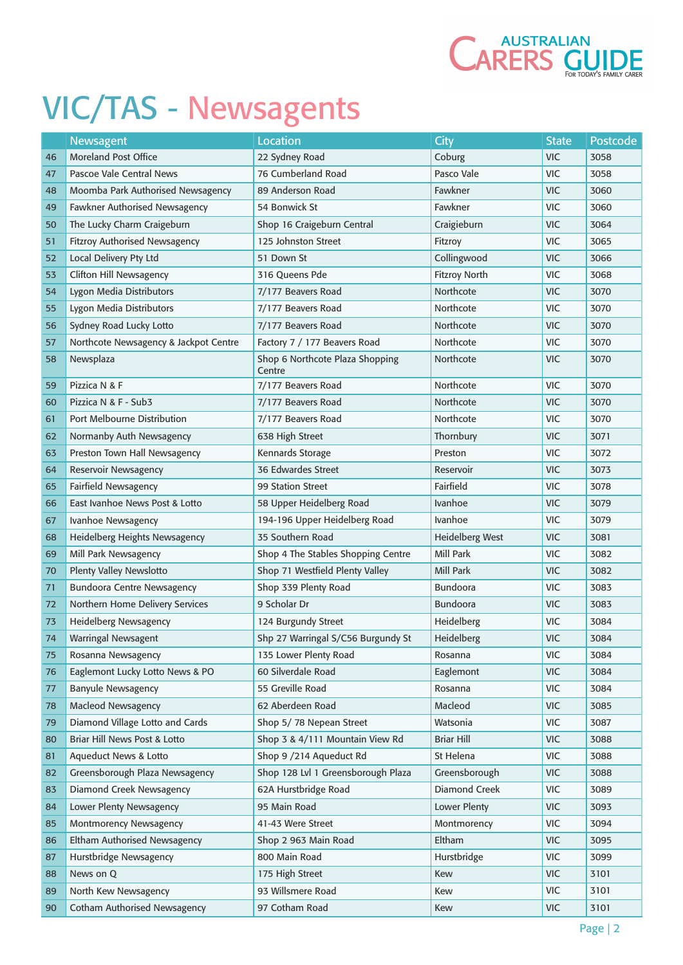

|    | Newsagent                             | <b>Location</b>                           | City                   | <b>State</b> | Postcode |
|----|---------------------------------------|-------------------------------------------|------------------------|--------------|----------|
| 46 | <b>Moreland Post Office</b>           | 22 Sydney Road                            | Coburg                 | <b>VIC</b>   | 3058     |
| 47 | Pascoe Vale Central News              | 76 Cumberland Road                        | Pasco Vale             | <b>VIC</b>   | 3058     |
| 48 | Moomba Park Authorised Newsagency     | 89 Anderson Road                          | Fawkner                | <b>VIC</b>   | 3060     |
| 49 | <b>Fawkner Authorised Newsagency</b>  | 54 Bonwick St                             | Fawkner                | <b>VIC</b>   | 3060     |
| 50 | The Lucky Charm Craigeburn            | Shop 16 Craigeburn Central                | Craigieburn            | <b>VIC</b>   | 3064     |
| 51 | <b>Fitzroy Authorised Newsagency</b>  | 125 Johnston Street                       | Fitzroy                | <b>VIC</b>   | 3065     |
| 52 | Local Delivery Pty Ltd                | 51 Down St                                | Collingwood            | <b>VIC</b>   | 3066     |
| 53 | Clifton Hill Newsagency               | 316 Oueens Pde                            | <b>Fitzroy North</b>   | <b>VIC</b>   | 3068     |
| 54 | Lygon Media Distributors              | 7/177 Beavers Road                        | Northcote              | <b>VIC</b>   | 3070     |
| 55 | Lygon Media Distributors              | 7/177 Beavers Road                        | Northcote              | <b>VIC</b>   | 3070     |
| 56 | Sydney Road Lucky Lotto               | 7/177 Beavers Road                        | Northcote              | <b>VIC</b>   | 3070     |
| 57 | Northcote Newsagency & Jackpot Centre | Factory 7 / 177 Beavers Road              | Northcote              | <b>VIC</b>   | 3070     |
| 58 | Newsplaza                             | Shop 6 Northcote Plaza Shopping<br>Centre | Northcote              | <b>VIC</b>   | 3070     |
| 59 | Pizzica N & F                         | 7/177 Beavers Road                        | Northcote              | <b>VIC</b>   | 3070     |
| 60 | Pizzica N & F - Sub3                  | 7/177 Beavers Road                        | Northcote              | <b>VIC</b>   | 3070     |
| 61 | Port Melbourne Distribution           | 7/177 Beavers Road                        | Northcote              | <b>VIC</b>   | 3070     |
| 62 | Normanby Auth Newsagency              | 638 High Street                           | Thornbury              | <b>VIC</b>   | 3071     |
| 63 | Preston Town Hall Newsagency          | Kennards Storage                          | Preston                | <b>VIC</b>   | 3072     |
| 64 | <b>Reservoir Newsagency</b>           | 36 Edwardes Street                        | Reservoir              | <b>VIC</b>   | 3073     |
| 65 | Fairfield Newsagency                  | 99 Station Street                         | Fairfield              | <b>VIC</b>   | 3078     |
| 66 | East Ivanhoe News Post & Lotto        | 58 Upper Heidelberg Road                  | <b>Ivanhoe</b>         | <b>VIC</b>   | 3079     |
| 67 | Ivanhoe Newsagency                    | 194-196 Upper Heidelberg Road             | <b>Ivanhoe</b>         | <b>VIC</b>   | 3079     |
| 68 | Heidelberg Heights Newsagency         | 35 Southern Road                          | <b>Heidelberg West</b> | <b>VIC</b>   | 3081     |
| 69 | Mill Park Newsagency                  | Shop 4 The Stables Shopping Centre        | Mill Park              | <b>VIC</b>   | 3082     |
| 70 | Plenty Valley Newslotto               | Shop 71 Westfield Plenty Valley           | Mill Park              | <b>VIC</b>   | 3082     |
| 71 | <b>Bundoora Centre Newsagency</b>     | Shop 339 Plenty Road                      | Bundoora               | <b>VIC</b>   | 3083     |
| 72 | Northern Home Delivery Services       | 9 Scholar Dr                              | <b>Bundoora</b>        | <b>VIC</b>   | 3083     |
| 73 | <b>Heidelberg Newsagency</b>          | 124 Burgundy Street                       | Heidelberg             | <b>VIC</b>   | 3084     |
| 74 | <b>Warringal Newsagent</b>            | Shp 27 Warringal S/C56 Burgundy St        | Heidelberg             | <b>VIC</b>   | 3084     |
| 75 | Rosanna Newsagency                    | 135 Lower Plenty Road                     | Rosanna                | <b>VIC</b>   | 3084     |
| 76 | Eaglemont Lucky Lotto News & PO       | 60 Silverdale Road                        | Eaglemont              | <b>VIC</b>   | 3084     |
| 77 | <b>Banyule Newsagency</b>             | 55 Greville Road                          | Rosanna                | <b>VIC</b>   | 3084     |
| 78 | <b>Macleod Newsagency</b>             | 62 Aberdeen Road                          | Macleod                | <b>VIC</b>   | 3085     |
| 79 | Diamond Village Lotto and Cards       | Shop 5/78 Nepean Street                   | Watsonia               | <b>VIC</b>   | 3087     |
| 80 | Briar Hill News Post & Lotto          | Shop 3 & 4/111 Mountain View Rd           | <b>Briar Hill</b>      | <b>VIC</b>   | 3088     |
| 81 | Aqueduct News & Lotto                 | Shop 9 /214 Aqueduct Rd                   | St Helena              | <b>VIC</b>   | 3088     |
| 82 | Greensborough Plaza Newsagency        | Shop 128 Lvl 1 Greensborough Plaza        | Greensborough          | <b>VIC</b>   | 3088     |
| 83 | Diamond Creek Newsagency              | 62A Hurstbridge Road                      | Diamond Creek          | <b>VIC</b>   | 3089     |
| 84 | Lower Plenty Newsagency               | 95 Main Road                              | Lower Plenty           | <b>VIC</b>   | 3093     |
| 85 | <b>Montmorency Newsagency</b>         | 41-43 Were Street                         | Montmorency            | <b>VIC</b>   | 3094     |
| 86 | Eltham Authorised Newsagency          | Shop 2 963 Main Road                      | Eltham                 | <b>VIC</b>   | 3095     |
| 87 | Hurstbridge Newsagency                | 800 Main Road                             | Hurstbridge            | <b>VIC</b>   | 3099     |
| 88 | News on Q                             | 175 High Street                           | Kew                    | <b>VIC</b>   | 3101     |
| 89 | North Kew Newsagency                  | 93 Willsmere Road                         | Kew                    | <b>VIC</b>   | 3101     |
| 90 | <b>Cotham Authorised Newsagency</b>   | 97 Cotham Road                            | Kew                    | <b>VIC</b>   | 3101     |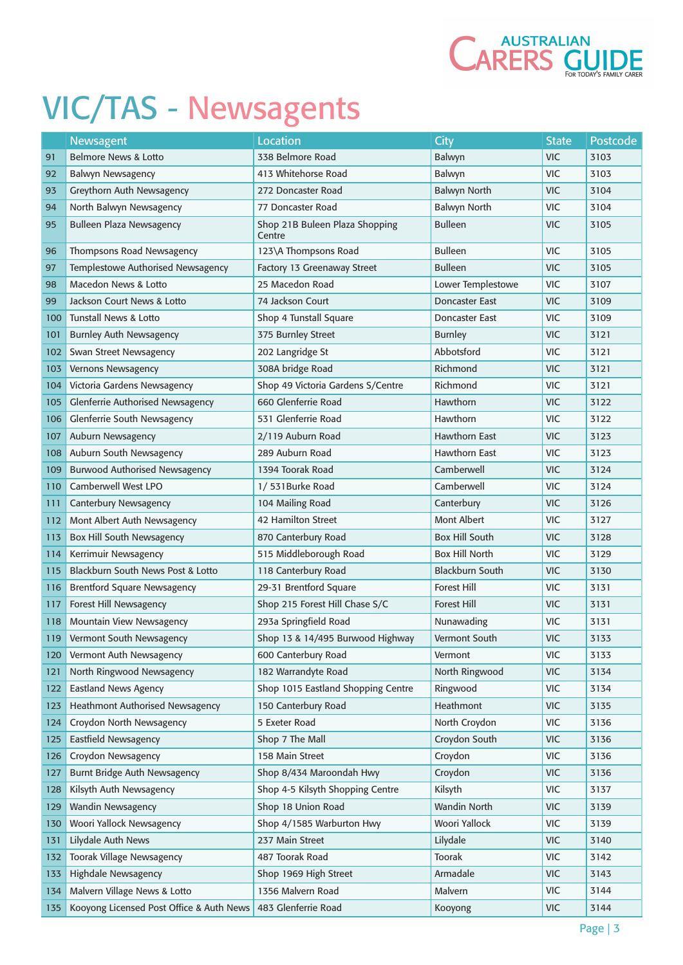

|     | Newsagent                                | <b>Location</b>                          | City                   | <b>State</b> | Postcode |
|-----|------------------------------------------|------------------------------------------|------------------------|--------------|----------|
| 91  | Belmore News & Lotto                     | 338 Belmore Road                         | Balwyn                 | <b>VIC</b>   | 3103     |
| 92  | <b>Balwyn Newsagency</b>                 | 413 Whitehorse Road                      | Balwyn                 | <b>VIC</b>   | 3103     |
| 93  | Greythorn Auth Newsagency                | 272 Doncaster Road                       | <b>Balwyn North</b>    | <b>VIC</b>   | 3104     |
| 94  | North Balwyn Newsagency                  | 77 Doncaster Road                        | Balwyn North           | <b>VIC</b>   | 3104     |
| 95  | <b>Bulleen Plaza Newsagency</b>          | Shop 21B Buleen Plaza Shopping<br>Centre | <b>Bulleen</b>         | <b>VIC</b>   | 3105     |
| 96  | Thompsons Road Newsagency                | 123\A Thompsons Road                     | <b>Bulleen</b>         | <b>VIC</b>   | 3105     |
| 97  | Templestowe Authorised Newsagency        | Factory 13 Greenaway Street              | <b>Bulleen</b>         | <b>VIC</b>   | 3105     |
| 98  | <b>Macedon News &amp; Lotto</b>          | 25 Macedon Road                          | Lower Templestowe      | <b>VIC</b>   | 3107     |
| 99  | Jackson Court News & Lotto               | 74 Jackson Court                         | <b>Doncaster East</b>  | <b>VIC</b>   | 3109     |
| 100 | <b>Tunstall News &amp; Lotto</b>         | Shop 4 Tunstall Square                   | Doncaster East         | <b>VIC</b>   | 3109     |
| 101 | <b>Burnley Auth Newsagency</b>           | 375 Burnley Street                       | <b>Burnley</b>         | <b>VIC</b>   | 3121     |
| 102 | Swan Street Newsagency                   | 202 Langridge St                         | Abbotsford             | <b>VIC</b>   | 3121     |
| 103 | Vernons Newsagency                       | 308A bridge Road                         | Richmond               | <b>VIC</b>   | 3121     |
| 104 | Victoria Gardens Newsagency              | Shop 49 Victoria Gardens S/Centre        | Richmond               | <b>VIC</b>   | 3121     |
| 105 | <b>Glenferrie Authorised Newsagency</b>  | 660 Glenferrie Road                      | Hawthorn               | <b>VIC</b>   | 3122     |
| 106 | Glenferrie South Newsagency              | 531 Glenferrie Road                      | <b>Hawthorn</b>        | <b>VIC</b>   | 3122     |
| 107 | Auburn Newsagency                        | 2/119 Auburn Road                        | <b>Hawthorn East</b>   | <b>VIC</b>   | 3123     |
| 108 | Auburn South Newsagency                  | 289 Auburn Road                          | Hawthorn East          | <b>VIC</b>   | 3123     |
| 109 | <b>Burwood Authorised Newsagency</b>     | 1394 Toorak Road                         | Camberwell             | <b>VIC</b>   | 3124     |
| 110 | Camberwell West LPO                      | 1/531Burke Road                          | Camberwell             | <b>VIC</b>   | 3124     |
| 111 | <b>Canterbury Newsagency</b>             | 104 Mailing Road                         | Canterbury             | <b>VIC</b>   | 3126     |
| 112 | Mont Albert Auth Newsagency              | <b>42 Hamilton Street</b>                | <b>Mont Albert</b>     | <b>VIC</b>   | 3127     |
| 113 | Box Hill South Newsagency                | 870 Canterbury Road                      | <b>Box Hill South</b>  | <b>VIC</b>   | 3128     |
| 114 | Kerrimuir Newsagency                     | 515 Middleborough Road                   | <b>Box Hill North</b>  | <b>VIC</b>   | 3129     |
| 115 | Blackburn South News Post & Lotto        | 118 Canterbury Road                      | <b>Blackburn South</b> | <b>VIC</b>   | 3130     |
| 116 | <b>Brentford Square Newsagency</b>       | 29-31 Brentford Square                   | <b>Forest Hill</b>     | <b>VIC</b>   | 3131     |
| 117 | Forest Hill Newsagency                   | Shop 215 Forest Hill Chase S/C           | <b>Forest Hill</b>     | <b>VIC</b>   | 3131     |
| 118 | <b>Mountain View Newsagency</b>          | 293a Springfield Road                    | Nunawading             | <b>VIC</b>   | 3131     |
| 119 | Vermont South Newsagency                 | Shop 13 & 14/495 Burwood Highway         | Vermont South          | <b>VIC</b>   | 3133     |
| 120 | Vermont Auth Newsagency                  | 600 Canterbury Road                      | Vermont                | <b>VIC</b>   | 3133     |
| 121 | North Ringwood Newsagency                | 182 Warrandyte Road                      | North Ringwood         | <b>VIC</b>   | 3134     |
| 122 | <b>Eastland News Agency</b>              | Shop 1015 Eastland Shopping Centre       | Ringwood               | <b>VIC</b>   | 3134     |
| 123 | Heathmont Authorised Newsagency          | 150 Canterbury Road                      | Heathmont              | <b>VIC</b>   | 3135     |
| 124 | Croydon North Newsagency                 | 5 Exeter Road                            | North Croydon          | <b>VIC</b>   | 3136     |
| 125 | <b>Eastfield Newsagency</b>              | Shop 7 The Mall                          | Croydon South          | <b>VIC</b>   | 3136     |
| 126 | Croydon Newsagency                       | 158 Main Street                          | Croydon                | <b>VIC</b>   | 3136     |
| 127 | <b>Burnt Bridge Auth Newsagency</b>      | Shop 8/434 Maroondah Hwy                 | Croydon                | <b>VIC</b>   | 3136     |
| 128 | Kilsyth Auth Newsagency                  | Shop 4-5 Kilsyth Shopping Centre         | Kilsyth                | <b>VIC</b>   | 3137     |
| 129 | <b>Wandin Newsagency</b>                 | Shop 18 Union Road                       | <b>Wandin North</b>    | <b>VIC</b>   | 3139     |
| 130 | Woori Yallock Newsagency                 | Shop 4/1585 Warburton Hwy                | Woori Yallock          | <b>VIC</b>   | 3139     |
| 131 | Lilydale Auth News                       | 237 Main Street                          | Lilydale               | <b>VIC</b>   | 3140     |
| 132 | <b>Toorak Village Newsagency</b>         | 487 Toorak Road                          | Toorak                 | <b>VIC</b>   | 3142     |
| 133 | <b>Highdale Newsagency</b>               | Shop 1969 High Street                    | Armadale               | <b>VIC</b>   | 3143     |
| 134 | Malvern Village News & Lotto             | 1356 Malvern Road                        | Malvern                | <b>VIC</b>   | 3144     |
| 135 | Kooyong Licensed Post Office & Auth News | 483 Glenferrie Road                      | Kooyong                | <b>VIC</b>   | 3144     |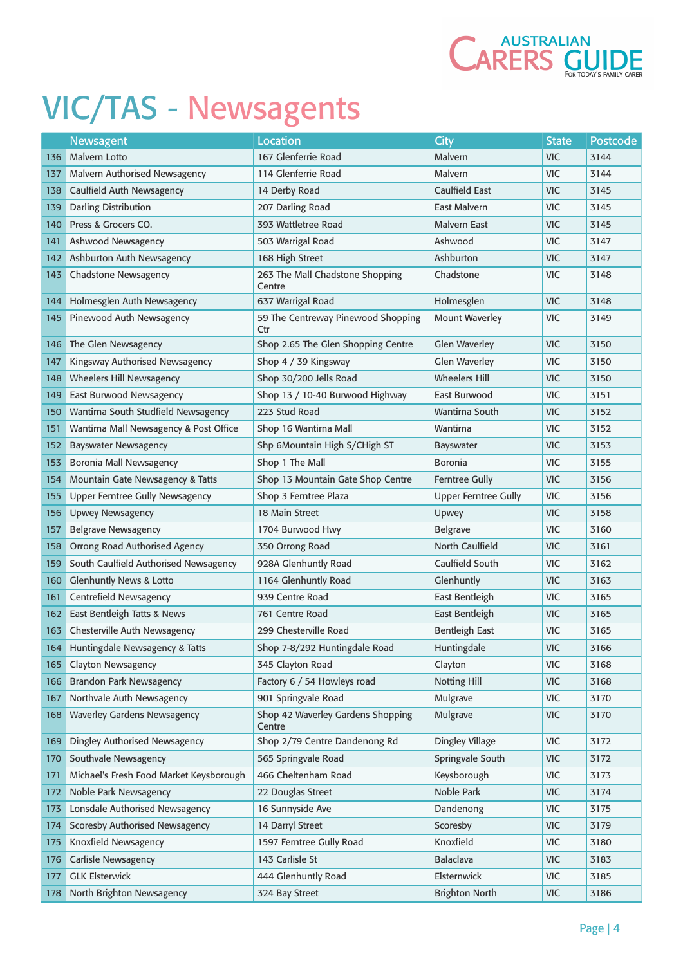

|     | Newsagent                               | <b>Location</b>                             | <b>City</b>                 | <b>State</b> | Postcode |
|-----|-----------------------------------------|---------------------------------------------|-----------------------------|--------------|----------|
| 136 | Malvern Lotto                           | 167 Glenferrie Road                         | Malvern                     | <b>VIC</b>   | 3144     |
| 137 | <b>Malvern Authorised Newsagency</b>    | 114 Glenferrie Road                         | Malvern                     | <b>VIC</b>   | 3144     |
| 138 | Caulfield Auth Newsagency               | 14 Derby Road                               | Caulfield East              | <b>VIC</b>   | 3145     |
| 139 | Darling Distribution                    | 207 Darling Road                            | East Malvern                | <b>VIC</b>   | 3145     |
| 140 | Press & Grocers CO.                     | 393 Wattletree Road                         | Malvern East                | <b>VIC</b>   | 3145     |
| 141 | Ashwood Newsagency                      | 503 Warrigal Road                           | Ashwood                     | <b>VIC</b>   | 3147     |
| 142 | Ashburton Auth Newsagency               | 168 High Street                             | Ashburton                   | <b>VIC</b>   | 3147     |
| 143 | <b>Chadstone Newsagency</b>             | 263 The Mall Chadstone Shopping<br>Centre   | Chadstone                   | <b>VIC</b>   | 3148     |
| 144 | Holmesglen Auth Newsagency              | 637 Warrigal Road                           | Holmesglen                  | <b>VIC</b>   | 3148     |
| 145 | Pinewood Auth Newsagency                | 59 The Centreway Pinewood Shopping<br>Ctr   | <b>Mount Waverley</b>       | <b>VIC</b>   | 3149     |
| 146 | The Glen Newsagency                     | Shop 2.65 The Glen Shopping Centre          | <b>Glen Waverley</b>        | <b>VIC</b>   | 3150     |
| 147 | Kingsway Authorised Newsagency          | Shop 4 / 39 Kingsway                        | <b>Glen Waverley</b>        | <b>VIC</b>   | 3150     |
| 148 | Wheelers Hill Newsagency                | Shop 30/200 Jells Road                      | <b>Wheelers Hill</b>        | <b>VIC</b>   | 3150     |
| 149 | East Burwood Newsagency                 | Shop 13 / 10-40 Burwood Highway             | East Burwood                | <b>VIC</b>   | 3151     |
| 150 | Wantirna South Studfield Newsagency     | 223 Stud Road                               | Wantirna South              | <b>VIC</b>   | 3152     |
| 151 | Wantirna Mall Newsagency & Post Office  | Shop 16 Wantirna Mall                       | Wantirna                    | <b>VIC</b>   | 3152     |
| 152 | <b>Bayswater Newsagency</b>             | Shp 6Mountain High S/CHigh ST               | Bayswater                   | <b>VIC</b>   | 3153     |
| 153 | Boronia Mall Newsagency                 | Shop 1 The Mall                             | <b>Boronia</b>              | <b>VIC</b>   | 3155     |
| 154 | Mountain Gate Newsagency & Tatts        | Shop 13 Mountain Gate Shop Centre           | <b>Ferntree Gully</b>       | <b>VIC</b>   | 3156     |
| 155 | <b>Upper Ferntree Gully Newsagency</b>  | Shop 3 Ferntree Plaza                       | <b>Upper Ferntree Gully</b> | <b>VIC</b>   | 3156     |
| 156 | <b>Upwey Newsagency</b>                 | 18 Main Street                              | Upwey                       | <b>VIC</b>   | 3158     |
| 157 | <b>Belgrave Newsagency</b>              | 1704 Burwood Hwy                            | <b>Belgrave</b>             | <b>VIC</b>   | 3160     |
| 158 | Orrong Road Authorised Agency           | 350 Orrong Road                             | North Caulfield             | <b>VIC</b>   | 3161     |
| 159 | South Caulfield Authorised Newsagency   | 928A Glenhuntly Road                        | Caulfield South             | <b>VIC</b>   | 3162     |
| 160 | <b>Glenhuntly News &amp; Lotto</b>      | 1164 Glenhuntly Road                        | Glenhuntly                  | <b>VIC</b>   | 3163     |
| 161 | Centrefield Newsagency                  | 939 Centre Road                             | East Bentleigh              | <b>VIC</b>   | 3165     |
| 162 | East Bentleigh Tatts & News             | 761 Centre Road                             | East Bentleigh              | <b>VIC</b>   | 3165     |
| 163 | Chesterville Auth Newsagency            | 299 Chesterville Road                       | <b>Bentleigh East</b>       | <b>VIC</b>   | 3165     |
| 164 | Huntingdale Newsagency & Tatts          | Shop 7-8/292 Huntingdale Road               | Huntingdale                 | <b>VIC</b>   | 3166     |
| 165 | Clayton Newsagency                      | 345 Clayton Road                            | Clayton                     | <b>VIC</b>   | 3168     |
| 166 | <b>Brandon Park Newsagency</b>          | Factory 6 / 54 Howleys road                 | Notting Hill                | <b>VIC</b>   | 3168     |
| 167 | Northvale Auth Newsagency               | 901 Springvale Road                         | Mulgrave                    | <b>VIC</b>   | 3170     |
| 168 | <b>Waverley Gardens Newsagency</b>      | Shop 42 Waverley Gardens Shopping<br>Centre | Mulgrave                    | <b>VIC</b>   | 3170     |
| 169 | Dingley Authorised Newsagency           | Shop 2/79 Centre Dandenong Rd               | Dingley Village             | <b>VIC</b>   | 3172     |
| 170 | Southvale Newsagency                    | 565 Springvale Road                         | Springvale South            | <b>VIC</b>   | 3172     |
| 171 | Michael's Fresh Food Market Keysborough | 466 Cheltenham Road                         | Keysborough                 | <b>VIC</b>   | 3173     |
| 172 | Noble Park Newsagency                   | 22 Douglas Street                           | Noble Park                  | <b>VIC</b>   | 3174     |
| 173 | Lonsdale Authorised Newsagency          | 16 Sunnyside Ave                            | Dandenong                   | <b>VIC</b>   | 3175     |
| 174 | Scoresby Authorised Newsagency          | 14 Darryl Street                            | Scoresby                    | <b>VIC</b>   | 3179     |
| 175 | Knoxfield Newsagency                    | 1597 Ferntree Gully Road                    | Knoxfield                   | <b>VIC</b>   | 3180     |
| 176 | Carlisle Newsagency                     | 143 Carlisle St                             | Balaclava                   | <b>VIC</b>   | 3183     |
| 177 | <b>GLK Elsterwick</b>                   | 444 Glenhuntly Road                         | Elsternwick                 | <b>VIC</b>   | 3185     |
| 178 | North Brighton Newsagency               | 324 Bay Street                              | <b>Brighton North</b>       | <b>VIC</b>   | 3186     |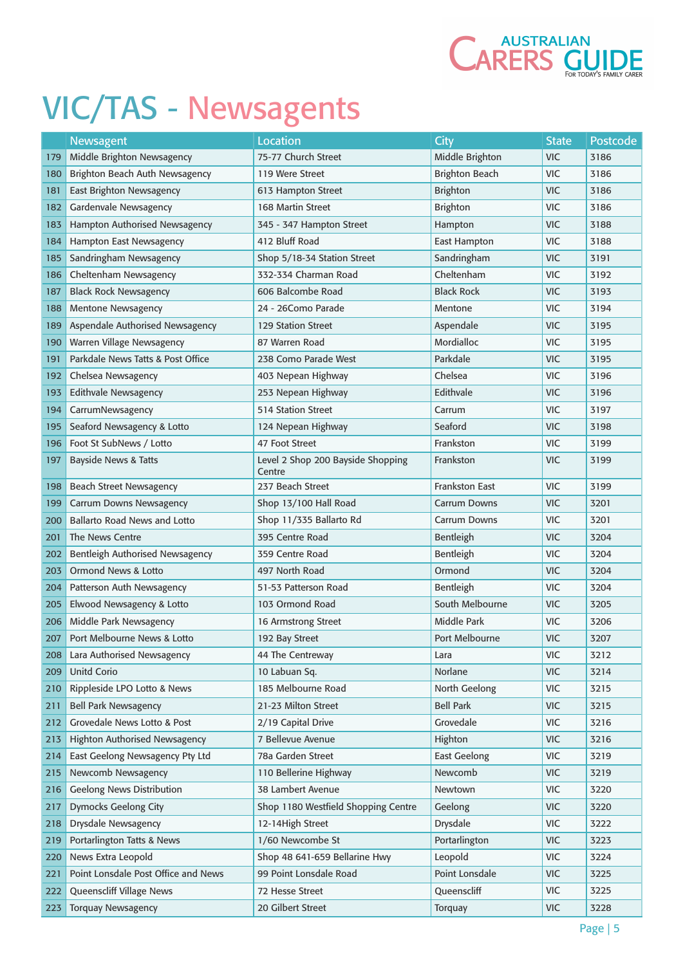

|            | Newsagent                           | <b>Location</b>                             | City                  | <b>State</b> | <b>Postcode</b> |
|------------|-------------------------------------|---------------------------------------------|-----------------------|--------------|-----------------|
| 179        | Middle Brighton Newsagency          | 75-77 Church Street                         | Middle Brighton       | <b>VIC</b>   | 3186            |
| 180        | Brighton Beach Auth Newsagency      | 119 Were Street                             | <b>Brighton Beach</b> | <b>VIC</b>   | 3186            |
| 181        | <b>East Brighton Newsagency</b>     | 613 Hampton Street                          | <b>Brighton</b>       | <b>VIC</b>   | 3186            |
| 182        | Gardenvale Newsagency               | 168 Martin Street                           | <b>Brighton</b>       | <b>VIC</b>   | 3186            |
| 183        | Hampton Authorised Newsagency       | 345 - 347 Hampton Street                    | Hampton               | <b>VIC</b>   | 3188            |
| 184        | Hampton East Newsagency             | 412 Bluff Road                              | <b>East Hampton</b>   | <b>VIC</b>   | 3188            |
| 185        | Sandringham Newsagency              | Shop 5/18-34 Station Street                 | Sandringham           | <b>VIC</b>   | 3191            |
| 186        | Cheltenham Newsagency               | 332-334 Charman Road                        | Cheltenham            | <b>VIC</b>   | 3192            |
| 187        | <b>Black Rock Newsagency</b>        | 606 Balcombe Road                           | <b>Black Rock</b>     | <b>VIC</b>   | 3193            |
| 188        | <b>Mentone Newsagency</b>           | 24 - 26Como Parade                          | Mentone               | <b>VIC</b>   | 3194            |
| 189        | Aspendale Authorised Newsagency     | <b>129 Station Street</b>                   | Aspendale             | <b>VIC</b>   | 3195            |
| 190        | Warren Village Newsagency           | 87 Warren Road                              | Mordialloc            | <b>VIC</b>   | 3195            |
| 191        | Parkdale News Tatts & Post Office   | 238 Como Parade West                        | Parkdale              | <b>VIC</b>   | 3195            |
| 192        | Chelsea Newsagency                  | 403 Nepean Highway                          | Chelsea               | <b>VIC</b>   | 3196            |
| 193        | <b>Edithvale Newsagency</b>         | 253 Nepean Highway                          | Edithvale             | <b>VIC</b>   | 3196            |
| 194        | CarrumNewsagency                    | <b>514 Station Street</b>                   | Carrum                | <b>VIC</b>   | 3197            |
| 195        | Seaford Newsagency & Lotto          | 124 Nepean Highway                          | Seaford               | <b>VIC</b>   | 3198            |
| 196        | Foot St SubNews / Lotto             | 47 Foot Street                              | Frankston             | <b>VIC</b>   | 3199            |
| 197        | <b>Bayside News &amp; Tatts</b>     | Level 2 Shop 200 Bayside Shopping<br>Centre | Frankston             | <b>VIC</b>   | 3199            |
| 198        | <b>Beach Street Newsagency</b>      | 237 Beach Street                            | Frankston East        | <b>VIC</b>   | 3199            |
| 199        | <b>Carrum Downs Newsagency</b>      | Shop 13/100 Hall Road                       | <b>Carrum Downs</b>   | <b>VIC</b>   | 3201            |
| <b>200</b> | <b>Ballarto Road News and Lotto</b> | Shop 11/335 Ballarto Rd                     | <b>Carrum Downs</b>   | <b>VIC</b>   | 3201            |
| 201        | The News Centre                     | 395 Centre Road                             | Bentleigh             | <b>VIC</b>   | 3204            |
| 202        | Bentleigh Authorised Newsagency     | 359 Centre Road                             | Bentleigh             | <b>VIC</b>   | 3204            |
| 203        | <b>Ormond News &amp; Lotto</b>      | 497 North Road                              | Ormond                | <b>VIC</b>   | 3204            |
| 204        | Patterson Auth Newsagency           | 51-53 Patterson Road                        | Bentleigh             | <b>VIC</b>   | 3204            |
| 205        | Elwood Newsagency & Lotto           | 103 Ormond Road                             | South Melbourne       | <b>VIC</b>   | 3205            |
| 206        | Middle Park Newsagency              | 16 Armstrong Street                         | Middle Park           | <b>VIC</b>   | 3206            |
| 207        | Port Melbourne News & Lotto         | 192 Bay Street                              | Port Melbourne        | <b>VIC</b>   | 3207            |
| 208        | Lara Authorised Newsagency          | 44 The Centreway                            | Lara                  | <b>VIC</b>   | 3212            |
| 209        | <b>Unitd Corio</b>                  | 10 Labuan Sq.                               | Norlane               | <b>VIC</b>   | 3214            |
| 210        | Rippleside LPO Lotto & News         | 185 Melbourne Road                          | North Geelong         | <b>VIC</b>   | 3215            |
| 211        | <b>Bell Park Newsagency</b>         | 21-23 Milton Street                         | <b>Bell Park</b>      | <b>VIC</b>   | 3215            |
| 212        | Grovedale News Lotto & Post         | 2/19 Capital Drive                          | Grovedale             | <b>VIC</b>   | 3216            |
| 213        | Highton Authorised Newsagency       | 7 Bellevue Avenue                           | Highton               | <b>VIC</b>   | 3216            |
| 214        | East Geelong Newsagency Pty Ltd     | 78a Garden Street                           | <b>East Geelong</b>   | <b>VIC</b>   | 3219            |
| 215        | Newcomb Newsagency                  | 110 Bellerine Highway                       | Newcomb               | <b>VIC</b>   | 3219            |
| 216        | <b>Geelong News Distribution</b>    | 38 Lambert Avenue                           | Newtown               | <b>VIC</b>   | 3220            |
| 217        | <b>Dymocks Geelong City</b>         | Shop 1180 Westfield Shopping Centre         | Geelong               | <b>VIC</b>   | 3220            |
| 218        | <b>Drysdale Newsagency</b>          | 12-14High Street                            | Drysdale              | <b>VIC</b>   | 3222            |
| 219        | Portarlington Tatts & News          | 1/60 Newcombe St                            | Portarlington         | <b>VIC</b>   | 3223            |
| 220        | News Extra Leopold                  | Shop 48 641-659 Bellarine Hwy               | Leopold               | <b>VIC</b>   | 3224            |
| 221        | Point Lonsdale Post Office and News | 99 Point Lonsdale Road                      | Point Lonsdale        | <b>VIC</b>   | 3225            |
| 222        | Queenscliff Village News            | 72 Hesse Street                             | Queenscliff           | <b>VIC</b>   | 3225            |
| 223        | <b>Torquay Newsagency</b>           | 20 Gilbert Street                           | Torquay               | <b>VIC</b>   | 3228            |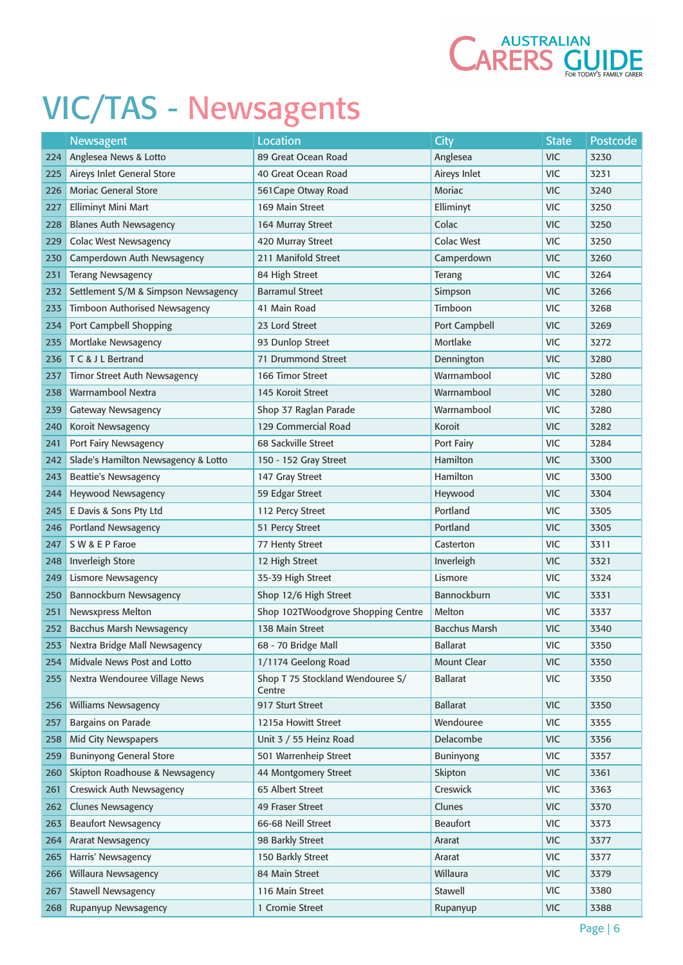

|     | Newsagent                           | <b>Location</b>                            | City                 | <b>State</b> | Postcode |
|-----|-------------------------------------|--------------------------------------------|----------------------|--------------|----------|
| 224 | Anglesea News & Lotto               | 89 Great Ocean Road                        | Anglesea             | <b>VIC</b>   | 3230     |
| 225 | Aireys Inlet General Store          | 40 Great Ocean Road                        | Aireys Inlet         | <b>VIC</b>   | 3231     |
| 226 | <b>Moriac General Store</b>         | 561 Cape Otway Road                        | <b>Moriac</b>        | <b>VIC</b>   | 3240     |
| 227 | Elliminyt Mini Mart                 | 169 Main Street                            | Elliminyt            | <b>VIC</b>   | 3250     |
| 228 | <b>Blanes Auth Newsagency</b>       | 164 Murray Street                          | Colac                | <b>VIC</b>   | 3250     |
| 229 | <b>Colac West Newsagency</b>        | 420 Murray Street                          | <b>Colac West</b>    | <b>VIC</b>   | 3250     |
| 230 | Camperdown Auth Newsagency          | 211 Manifold Street                        | Camperdown           | <b>VIC</b>   | 3260     |
| 231 | <b>Terang Newsagency</b>            | 84 High Street                             | Terang               | <b>VIC</b>   | 3264     |
| 232 | Settlement S/M & Simpson Newsagency | <b>Barramul Street</b>                     | Simpson              | <b>VIC</b>   | 3266     |
| 233 | Timboon Authorised Newsagency       | 41 Main Road                               | Timboon              | <b>VIC</b>   | 3268     |
| 234 | Port Campbell Shopping              | 23 Lord Street                             | Port Campbell        | <b>VIC</b>   | 3269     |
| 235 | Mortlake Newsagency                 | 93 Dunlop Street                           | Mortlake             | <b>VIC</b>   | 3272     |
| 236 | <b>TC &amp; JL Bertrand</b>         | 71 Drummond Street                         | Dennington           | <b>VIC</b>   | 3280     |
| 237 | Timor Street Auth Newsagency        | 166 Timor Street                           | Warrnambool          | <b>VIC</b>   | 3280     |
| 238 | Warrnambool Nextra                  | 145 Koroit Street                          | Warrnambool          | <b>VIC</b>   | 3280     |
| 239 | <b>Gateway Newsagency</b>           | Shop 37 Raglan Parade                      | Warrnambool          | <b>VIC</b>   | 3280     |
| 240 | Koroit Newsagency                   | 129 Commercial Road                        | Koroit               | <b>VIC</b>   | 3282     |
| 241 | Port Fairy Newsagency               | 68 Sackville Street                        | Port Fairy           | <b>VIC</b>   | 3284     |
| 242 | Slade's Hamilton Newsagency & Lotto | 150 - 152 Gray Street                      | Hamilton             | <b>VIC</b>   | 3300     |
| 243 | <b>Beattie's Newsagency</b>         | 147 Gray Street                            | Hamilton             | <b>VIC</b>   | 3300     |
| 244 | <b>Heywood Newsagency</b>           | 59 Edgar Street                            | Heywood              | <b>VIC</b>   | 3304     |
| 245 | E Davis & Sons Pty Ltd              | 112 Percy Street                           | Portland             | <b>VIC</b>   | 3305     |
| 246 | <b>Portland Newsagency</b>          | 51 Percy Street                            | Portland             | <b>VIC</b>   | 3305     |
| 247 | SW & E P Faroe                      | 77 Henty Street                            | Casterton            | <b>VIC</b>   | 3311     |
| 248 | <b>Inverleigh Store</b>             | 12 High Street                             | Inverleigh           | <b>VIC</b>   | 3321     |
| 249 | Lismore Newsagency                  | 35-39 High Street                          | Lismore              | <b>VIC</b>   | 3324     |
| 250 | Bannockburn Newsagency              | Shop 12/6 High Street                      | Bannockburn          | <b>VIC</b>   | 3331     |
| 251 | Newsxpress Melton                   | Shop 102TWoodgrove Shopping Centre         | Melton               | <b>VIC</b>   | 3337     |
| 252 | <b>Bacchus Marsh Newsagency</b>     | 138 Main Street                            | <b>Bacchus Marsh</b> | <b>VIC</b>   | 3340     |
| 253 | Nextra Bridge Mall Newsagency       | 68 - 70 Bridge Mall                        | <b>Ballarat</b>      | VIC          | 3350     |
| 254 | Midvale News Post and Lotto         | 1/1174 Geelong Road                        | <b>Mount Clear</b>   | <b>VIC</b>   | 3350     |
| 255 | Nextra Wendouree Village News       | Shop T 75 Stockland Wendouree S/<br>Centre | <b>Ballarat</b>      | <b>VIC</b>   | 3350     |
| 256 | <b>Williams Newsagency</b>          | 917 Sturt Street                           | <b>Ballarat</b>      | <b>VIC</b>   | 3350     |
| 257 | Bargains on Parade                  | 1215a Howitt Street                        | Wendouree            | <b>VIC</b>   | 3355     |
| 258 | Mid City Newspapers                 | Unit 3 / 55 Heinz Road                     | Delacombe            | <b>VIC</b>   | 3356     |
| 259 | <b>Buninyong General Store</b>      | 501 Warrenheip Street                      | <b>Buninyong</b>     | <b>VIC</b>   | 3357     |
| 260 | Skipton Roadhouse & Newsagency      | 44 Montgomery Street                       | Skipton              | <b>VIC</b>   | 3361     |
| 261 | Creswick Auth Newsagency            | 65 Albert Street                           | Creswick             | <b>VIC</b>   | 3363     |
| 262 | <b>Clunes Newsagency</b>            | 49 Fraser Street                           | Clunes               | <b>VIC</b>   | 3370     |
| 263 | <b>Beaufort Newsagency</b>          | 66-68 Neill Street                         | <b>Beaufort</b>      | <b>VIC</b>   | 3373     |
| 264 | <b>Ararat Newsagency</b>            | 98 Barkly Street                           | Ararat               | <b>VIC</b>   | 3377     |
| 265 | Harris' Newsagency                  | 150 Barkly Street                          | Ararat               | <b>VIC</b>   | 3377     |
| 266 | Willaura Newsagency                 | 84 Main Street                             | Willaura             | <b>VIC</b>   | 3379     |
| 267 | Stawell Newsagency                  | 116 Main Street                            | Stawell              | <b>VIC</b>   | 3380     |
| 268 | Rupanyup Newsagency                 | 1 Cromie Street                            | Rupanyup             | <b>VIC</b>   | 3388     |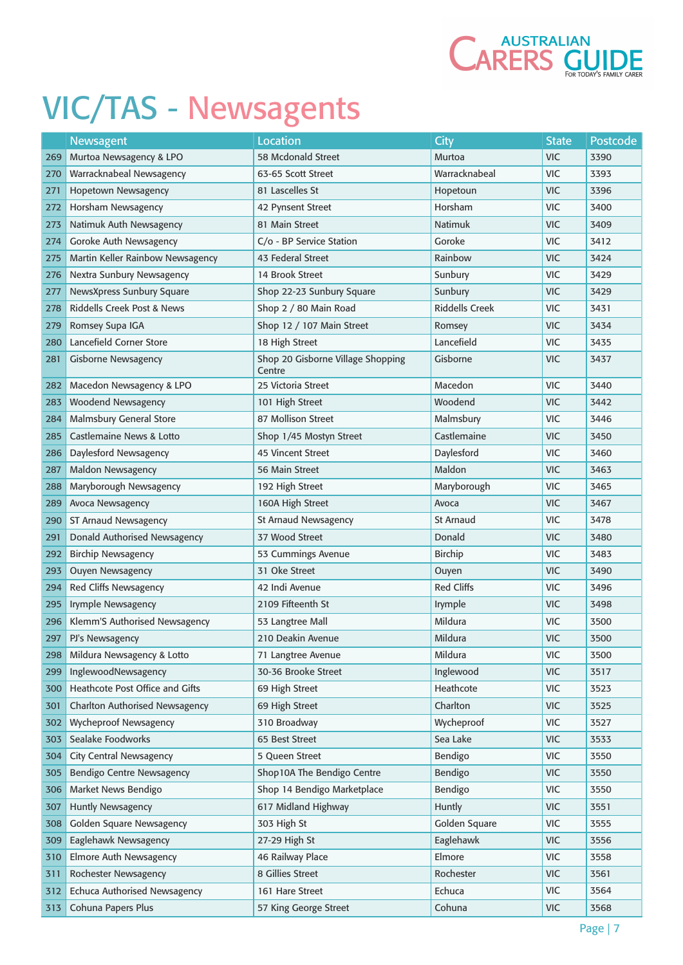

|     | Newsagent                             | <b>Location</b>                             | <b>City</b>           | <b>State</b> | <b>Postcode</b> |
|-----|---------------------------------------|---------------------------------------------|-----------------------|--------------|-----------------|
| 269 | Murtoa Newsagency & LPO               | 58 Mcdonald Street                          | <b>Murtoa</b>         | <b>VIC</b>   | 3390            |
| 270 | Warracknabeal Newsagency              | 63-65 Scott Street                          | Warracknabeal         | <b>VIC</b>   | 3393            |
| 271 | Hopetown Newsagency                   | 81 Lascelles St                             | Hopetoun              | <b>VIC</b>   | 3396            |
| 272 | Horsham Newsagency                    | 42 Pynsent Street                           | Horsham               | <b>VIC</b>   | 3400            |
| 273 | Natimuk Auth Newsagency               | 81 Main Street                              | <b>Natimuk</b>        | <b>VIC</b>   | 3409            |
| 274 | Goroke Auth Newsagency                | C/o - BP Service Station                    | Goroke                | <b>VIC</b>   | 3412            |
| 275 | Martin Keller Rainbow Newsagency      | 43 Federal Street                           | Rainbow               | <b>VIC</b>   | 3424            |
| 276 | Nextra Sunbury Newsagency             | 14 Brook Street                             | Sunbury               | <b>VIC</b>   | 3429            |
| 277 | NewsXpress Sunbury Square             | Shop 22-23 Sunbury Square                   | Sunbury               | <b>VIC</b>   | 3429            |
| 278 | <b>Riddells Creek Post &amp; News</b> | Shop 2 / 80 Main Road                       | <b>Riddells Creek</b> | <b>VIC</b>   | 3431            |
| 279 | Romsey Supa IGA                       | Shop 12 / 107 Main Street                   | Romsey                | <b>VIC</b>   | 3434            |
| 280 | <b>Lancefield Corner Store</b>        | 18 High Street                              | Lancefield            | <b>VIC</b>   | 3435            |
| 281 | <b>Gisborne Newsagency</b>            | Shop 20 Gisborne Village Shopping<br>Centre | Gisborne              | <b>VIC</b>   | 3437            |
| 282 | Macedon Newsagency & LPO              | 25 Victoria Street                          | Macedon               | <b>VIC</b>   | 3440            |
| 283 | <b>Woodend Newsagency</b>             | 101 High Street                             | Woodend               | <b>VIC</b>   | 3442            |
| 284 | <b>Malmsbury General Store</b>        | 87 Mollison Street                          | Malmsbury             | <b>VIC</b>   | 3446            |
| 285 | <b>Castlemaine News &amp; Lotto</b>   | Shop 1/45 Mostyn Street                     | Castlemaine           | <b>VIC</b>   | 3450            |
| 286 | Daylesford Newsagency                 | <b>45 Vincent Street</b>                    | Daylesford            | <b>VIC</b>   | 3460            |
| 287 | Maldon Newsagency                     | <b>56 Main Street</b>                       | Maldon                | <b>VIC</b>   | 3463            |
| 288 | Maryborough Newsagency                | 192 High Street                             | Maryborough           | <b>VIC</b>   | 3465            |
| 289 | Avoca Newsagency                      | 160A High Street                            | Avoca                 | <b>VIC</b>   | 3467            |
| 290 | ST Arnaud Newsagency                  | <b>St Arnaud Newsagency</b>                 | <b>St Arnaud</b>      | <b>VIC</b>   | 3478            |
| 291 | Donald Authorised Newsagency          | 37 Wood Street                              | Donald                | <b>VIC</b>   | 3480            |
| 292 | <b>Birchip Newsagency</b>             | 53 Cummings Avenue                          | <b>Birchip</b>        | <b>VIC</b>   | 3483            |
| 293 | <b>Ouyen Newsagency</b>               | 31 Oke Street                               | Ouyen                 | <b>VIC</b>   | 3490            |
| 294 | Red Cliffs Newsagency                 | 42 Indi Avenue                              | <b>Red Cliffs</b>     | <b>VIC</b>   | 3496            |
| 295 | Irymple Newsagency                    | 2109 Fifteenth St                           | Irymple               | <b>VIC</b>   | 3498            |
| 296 | Klemm'S Authorised Newsagency         | 53 Langtree Mall                            | Mildura               | <b>VIC</b>   | 3500            |
| 297 | PJ's Newsagency                       | 210 Deakin Avenue                           | Mildura               | <b>VIC</b>   | 3500            |
| 298 | Mildura Newsagency & Lotto            | 71 Langtree Avenue                          | Mildura               | <b>VIC</b>   | 3500            |
| 299 | InglewoodNewsagency                   | 30-36 Brooke Street                         | Inglewood             | <b>VIC</b>   | 3517            |
| 300 | Heathcote Post Office and Gifts       | 69 High Street                              | Heathcote             | <b>VIC</b>   | 3523            |
| 301 | <b>Charlton Authorised Newsagency</b> | 69 High Street                              | Charlton              | <b>VIC</b>   | 3525            |
| 302 | <b>Wycheproof Newsagency</b>          | 310 Broadway                                | Wycheproof            | <b>VIC</b>   | 3527            |
| 303 | Sealake Foodworks                     | 65 Best Street                              | Sea Lake              | <b>VIC</b>   | 3533            |
| 304 | <b>City Central Newsagency</b>        | 5 Queen Street                              | Bendigo               | <b>VIC</b>   | 3550            |
| 305 | <b>Bendigo Centre Newsagency</b>      | Shop10A The Bendigo Centre                  | Bendigo               | <b>VIC</b>   | 3550            |
| 306 | Market News Bendigo                   | Shop 14 Bendigo Marketplace                 | Bendigo               | <b>VIC</b>   | 3550            |
| 307 | <b>Huntly Newsagency</b>              | 617 Midland Highway                         | Huntly                | <b>VIC</b>   | 3551            |
| 308 | Golden Square Newsagency              | 303 High St                                 | Golden Square         | <b>VIC</b>   | 3555            |
| 309 | Eaglehawk Newsagency                  | 27-29 High St                               | Eaglehawk             | <b>VIC</b>   | 3556            |
| 310 | Elmore Auth Newsagency                | 46 Railway Place                            | Elmore                | <b>VIC</b>   | 3558            |
| 311 | Rochester Newsagency                  | 8 Gillies Street                            | Rochester             | <b>VIC</b>   | 3561            |
| 312 | <b>Echuca Authorised Newsagency</b>   | 161 Hare Street                             | Echuca                | <b>VIC</b>   | 3564            |
| 313 | Cohuna Papers Plus                    | 57 King George Street                       | Cohuna                | <b>VIC</b>   | 3568            |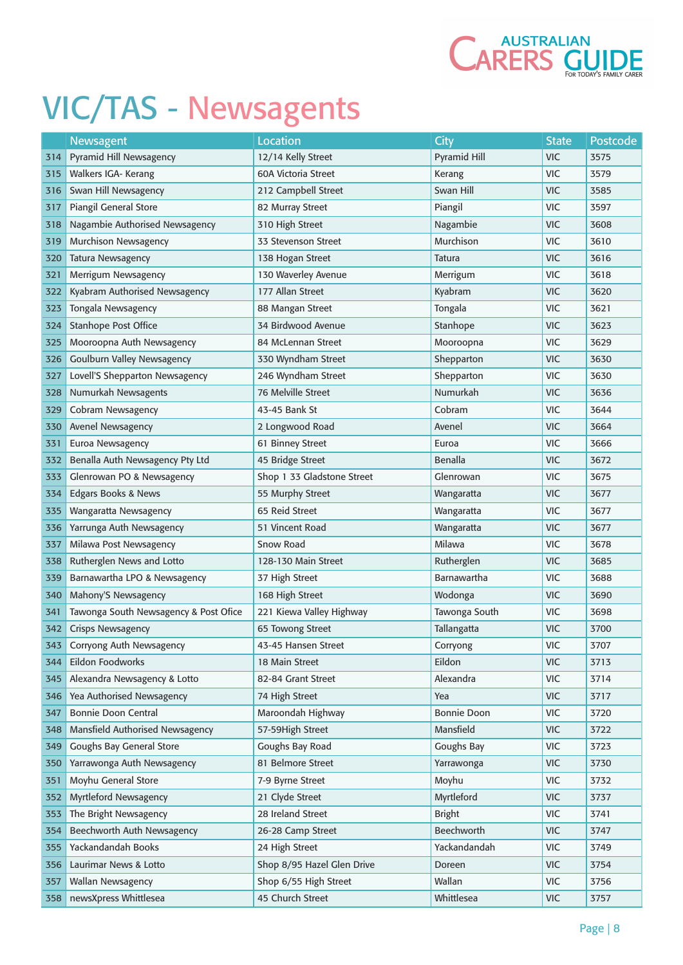

|     | Newsagent                             | <b>Location</b>            | City                | <b>State</b> | Postcode |
|-----|---------------------------------------|----------------------------|---------------------|--------------|----------|
| 314 | <b>Pyramid Hill Newsagency</b>        | 12/14 Kelly Street         | <b>Pyramid Hill</b> | <b>VIC</b>   | 3575     |
| 315 | Walkers IGA- Kerang                   | <b>60A Victoria Street</b> | Kerang              | <b>VIC</b>   | 3579     |
| 316 | Swan Hill Newsagency                  | 212 Campbell Street        | Swan Hill           | <b>VIC</b>   | 3585     |
| 317 | Piangil General Store                 | 82 Murray Street           | Piangil             | <b>VIC</b>   | 3597     |
| 318 | Nagambie Authorised Newsagency        | 310 High Street            | Nagambie            | <b>VIC</b>   | 3608     |
| 319 | <b>Murchison Newsagency</b>           | 33 Stevenson Street        | Murchison           | <b>VIC</b>   | 3610     |
| 320 | <b>Tatura Newsagency</b>              | 138 Hogan Street           | Tatura              | <b>VIC</b>   | 3616     |
| 321 | Merrigum Newsagency                   | 130 Waverley Avenue        | Merrigum            | <b>VIC</b>   | 3618     |
| 322 | Kyabram Authorised Newsagency         | 177 Allan Street           | Kyabram             | <b>VIC</b>   | 3620     |
| 323 | Tongala Newsagency                    | 88 Mangan Street           | Tongala             | <b>VIC</b>   | 3621     |
| 324 | <b>Stanhope Post Office</b>           | 34 Birdwood Avenue         | Stanhope            | <b>VIC</b>   | 3623     |
| 325 | Mooroopna Auth Newsagency             | 84 McLennan Street         | Mooroopna           | <b>VIC</b>   | 3629     |
| 326 | <b>Goulburn Valley Newsagency</b>     | 330 Wyndham Street         | Shepparton          | <b>VIC</b>   | 3630     |
| 327 | Lovell'S Shepparton Newsagency        | 246 Wyndham Street         | Shepparton          | <b>VIC</b>   | 3630     |
| 328 | Numurkah Newsagents                   | <b>76 Melville Street</b>  | Numurkah            | <b>VIC</b>   | 3636     |
| 329 | Cobram Newsagency                     | 43-45 Bank St              | Cobram              | <b>VIC</b>   | 3644     |
| 330 | Avenel Newsagency                     | 2 Longwood Road            | Avenel              | <b>VIC</b>   | 3664     |
| 331 | Euroa Newsagency                      | 61 Binney Street           | Euroa               | <b>VIC</b>   | 3666     |
| 332 | Benalla Auth Newsagency Pty Ltd       | 45 Bridge Street           | Benalla             | <b>VIC</b>   | 3672     |
| 333 | Glenrowan PO & Newsagency             | Shop 1 33 Gladstone Street | Glenrowan           | <b>VIC</b>   | 3675     |
| 334 | Edgars Books & News                   | 55 Murphy Street           | Wangaratta          | <b>VIC</b>   | 3677     |
| 335 | Wangaratta Newsagency                 | 65 Reid Street             | Wangaratta          | <b>VIC</b>   | 3677     |
| 336 | Yarrunga Auth Newsagency              | 51 Vincent Road            | Wangaratta          | <b>VIC</b>   | 3677     |
| 337 | Milawa Post Newsagency                | <b>Snow Road</b>           | Milawa              | <b>VIC</b>   | 3678     |
| 338 | Rutherglen News and Lotto             | 128-130 Main Street        | Rutherglen          | <b>VIC</b>   | 3685     |
| 339 | Barnawartha LPO & Newsagency          | 37 High Street             | Barnawartha         | <b>VIC</b>   | 3688     |
| 340 | Mahony'S Newsagency                   | 168 High Street            | Wodonga             | <b>VIC</b>   | 3690     |
| 341 | Tawonga South Newsagency & Post Ofice | 221 Kiewa Valley Highway   | Tawonga South       | <b>VIC</b>   | 3698     |
| 342 | <b>Crisps Newsagency</b>              | 65 Towong Street           | Tallangatta         | <b>VIC</b>   | 3700     |
| 343 | Corryong Auth Newsagency              | 43-45 Hansen Street        | Corryong            | <b>VIC</b>   | 3707     |
| 344 | Eildon Foodworks                      | 18 Main Street             | Eildon              | <b>VIC</b>   | 3713     |
| 345 | Alexandra Newsagency & Lotto          | 82-84 Grant Street         | Alexandra           | <b>VIC</b>   | 3714     |
| 346 | Yea Authorised Newsagency             | 74 High Street             | Yea                 | <b>VIC</b>   | 3717     |
| 347 | <b>Bonnie Doon Central</b>            | Maroondah Highway          | <b>Bonnie Doon</b>  | <b>VIC</b>   | 3720     |
| 348 | Mansfield Authorised Newsagency       | 57-59High Street           | Mansfield           | <b>VIC</b>   | 3722     |
| 349 | Goughs Bay General Store              | Goughs Bay Road            | Goughs Bay          | <b>VIC</b>   | 3723     |
| 350 | Yarrawonga Auth Newsagency            | 81 Belmore Street          | Yarrawonga          | <b>VIC</b>   | 3730     |
| 351 | Moyhu General Store                   | 7-9 Byrne Street           | Moyhu               | <b>VIC</b>   | 3732     |
| 352 | Myrtleford Newsagency                 | 21 Clyde Street            | Myrtleford          | <b>VIC</b>   | 3737     |
| 353 | The Bright Newsagency                 | 28 Ireland Street          | <b>Bright</b>       | <b>VIC</b>   | 3741     |
| 354 | Beechworth Auth Newsagency            | 26-28 Camp Street          | Beechworth          | <b>VIC</b>   | 3747     |
| 355 | Yackandandah Books                    | 24 High Street             | Yackandandah        | <b>VIC</b>   | 3749     |
| 356 | Laurimar News & Lotto                 | Shop 8/95 Hazel Glen Drive | Doreen              | <b>VIC</b>   | 3754     |
| 357 | <b>Wallan Newsagency</b>              | Shop 6/55 High Street      | Wallan              | <b>VIC</b>   | 3756     |
| 358 | newsXpress Whittlesea                 | 45 Church Street           | Whittlesea          | <b>VIC</b>   | 3757     |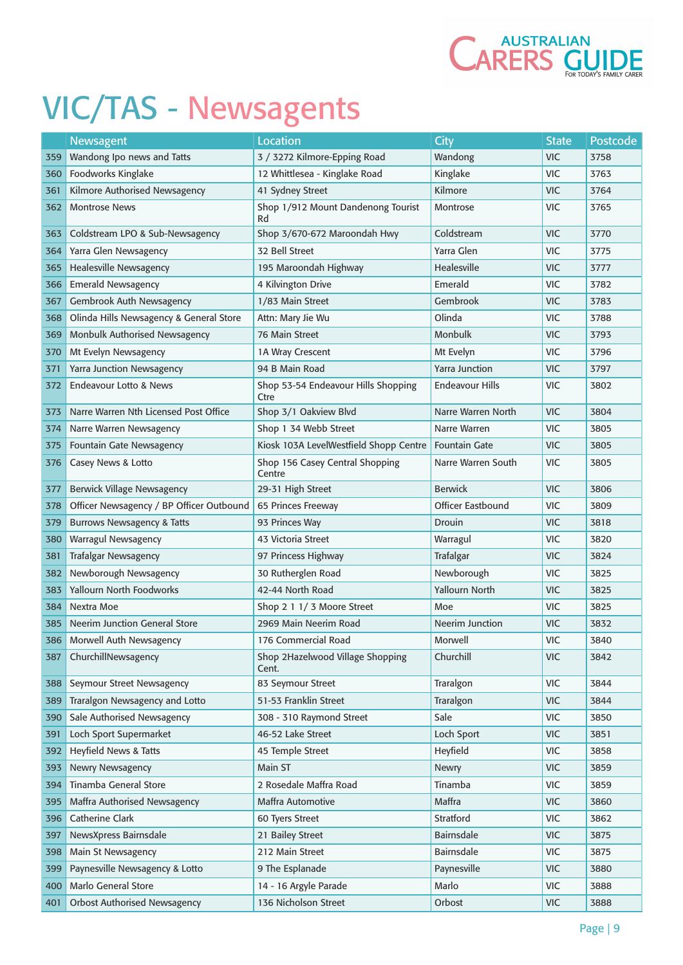

|       | Newsagent                                | <b>Location</b>                             | City                   | <b>State</b> | Postcode |
|-------|------------------------------------------|---------------------------------------------|------------------------|--------------|----------|
| 359   | Wandong Ipo news and Tatts               | 3 / 3272 Kilmore-Epping Road                | Wandong                | <b>VIC</b>   | 3758     |
| 360   | Foodworks Kinglake                       | 12 Whittlesea - Kinglake Road               | Kinglake               | <b>VIC</b>   | 3763     |
| 361   | Kilmore Authorised Newsagency            | 41 Sydney Street                            | Kilmore                | <b>VIC</b>   | 3764     |
| 362   | <b>Montrose News</b>                     | Shop 1/912 Mount Dandenong Tourist<br>Rd    | Montrose               | <b>VIC</b>   | 3765     |
| 363   | Coldstream LPO & Sub-Newsagency          | Shop 3/670-672 Maroondah Hwy                | Coldstream             | <b>VIC</b>   | 3770     |
| 364   | Yarra Glen Newsagency                    | 32 Bell Street                              | Yarra Glen             | <b>VIC</b>   | 3775     |
| 365   | <b>Healesville Newsagency</b>            | 195 Maroondah Highway                       | <b>Healesville</b>     | <b>VIC</b>   | 3777     |
| 366   | <b>Emerald Newsagency</b>                | 4 Kilvington Drive                          | Emerald                | <b>VIC</b>   | 3782     |
| 367   | Gembrook Auth Newsagency                 | 1/83 Main Street                            | Gembrook               | <b>VIC</b>   | 3783     |
| 368   | Olinda Hills Newsagency & General Store  | Attn: Mary Jie Wu                           | Olinda                 | <b>VIC</b>   | 3788     |
| 369   | Monbulk Authorised Newsagency            | <b>76 Main Street</b>                       | <b>Monbulk</b>         | <b>VIC</b>   | 3793     |
| 370   | Mt Evelyn Newsagency                     | 1A Wray Crescent                            | Mt Evelyn              | <b>VIC</b>   | 3796     |
| 371   | Yarra Junction Newsagency                | 94 B Main Road                              | <b>Yarra Junction</b>  | <b>VIC</b>   | 3797     |
| 372   | Endeavour Lotto & News                   | Shop 53-54 Endeavour Hills Shopping<br>Ctre | <b>Endeavour Hills</b> | <b>VIC</b>   | 3802     |
| 373   | Narre Warren Nth Licensed Post Office    | Shop 3/1 Oakview Blvd                       | Narre Warren North     | <b>VIC</b>   | 3804     |
| 374   | Narre Warren Newsagency                  | Shop 1 34 Webb Street                       | Narre Warren           | <b>VIC</b>   | 3805     |
| 375   | <b>Fountain Gate Newsagency</b>          | Kiosk 103A LevelWestfield Shopp Centre      | <b>Fountain Gate</b>   | <b>VIC</b>   | 3805     |
| 376   | Casey News & Lotto                       | Shop 156 Casey Central Shopping<br>Centre   | Narre Warren South     | <b>VIC</b>   | 3805     |
| 377   | Berwick Village Newsagency               | 29-31 High Street                           | <b>Berwick</b>         | <b>VIC</b>   | 3806     |
| 378   | Officer Newsagency / BP Officer Outbound | 65 Princes Freeway                          | Officer Eastbound      | <b>VIC</b>   | 3809     |
| 379   | <b>Burrows Newsagency &amp; Tatts</b>    | 93 Princes Way                              | Drouin                 | <b>VIC</b>   | 3818     |
| 380   | Warragul Newsagency                      | 43 Victoria Street                          | Warragul               | <b>VIC</b>   | 3820     |
| 381   | <b>Trafalgar Newsagency</b>              | 97 Princess Highway                         | Trafalgar              | <b>VIC</b>   | 3824     |
| 382   | Newborough Newsagency                    | 30 Rutherglen Road                          | Newborough             | <b>VIC</b>   | 3825     |
| 383   | <b>Yallourn North Foodworks</b>          | 42-44 North Road                            | Yallourn North         | <b>VIC</b>   | 3825     |
| 384   | Nextra Moe                               | Shop 2 1 1/ 3 Moore Street                  | Moe                    | <b>VIC</b>   | 3825     |
| 385   | <b>Neerim Junction General Store</b>     | 2969 Main Neerim Road                       | Neerim Junction        | <b>VIC</b>   | 3832     |
| 386 l | Morwell Auth Newsagency                  | 176 Commercial Road                         | Morwell                | <b>VIC</b>   | 3840     |
| 387   | ChurchillNewsagency                      | Shop 2Hazelwood Village Shopping<br>Cent.   | Churchill              | <b>VIC</b>   | 3842     |
| 388   | Seymour Street Newsagency                | 83 Seymour Street                           | Traralgon              | <b>VIC</b>   | 3844     |
| 389   | Traralgon Newsagency and Lotto           | 51-53 Franklin Street                       | Traralgon              | <b>VIC</b>   | 3844     |
| 390   | Sale Authorised Newsagency               | 308 - 310 Raymond Street                    | Sale                   | <b>VIC</b>   | 3850     |
| 391   | Loch Sport Supermarket                   | 46-52 Lake Street                           | Loch Sport             | <b>VIC</b>   | 3851     |
| 392   | <b>Heyfield News &amp; Tatts</b>         | 45 Temple Street                            | Heyfield               | <b>VIC</b>   | 3858     |
| 393   | <b>Newry Newsagency</b>                  | Main ST                                     | <b>Newry</b>           | <b>VIC</b>   | 3859     |
| 394   | Tinamba General Store                    | 2 Rosedale Maffra Road                      | Tinamba                | <b>VIC</b>   | 3859     |
| 395   | Maffra Authorised Newsagency             | Maffra Automotive                           | Maffra                 | <b>VIC</b>   | 3860     |
| 396   | Catherine Clark                          | 60 Tyers Street                             | Stratford              | <b>VIC</b>   | 3862     |
| 397   | NewsXpress Bairnsdale                    | 21 Bailey Street                            | Bairnsdale             | <b>VIC</b>   | 3875     |
| 398   | Main St Newsagency                       | 212 Main Street                             | Bairnsdale             | <b>VIC</b>   | 3875     |
| 399   | Paynesville Newsagency & Lotto           | 9 The Esplanade                             | Paynesville            | <b>VIC</b>   | 3880     |
| 400   | <b>Marlo General Store</b>               | 14 - 16 Argyle Parade                       | Marlo                  | <b>VIC</b>   | 3888     |
| 401   | <b>Orbost Authorised Newsagency</b>      | 136 Nicholson Street                        | Orbost                 | <b>VIC</b>   | 3888     |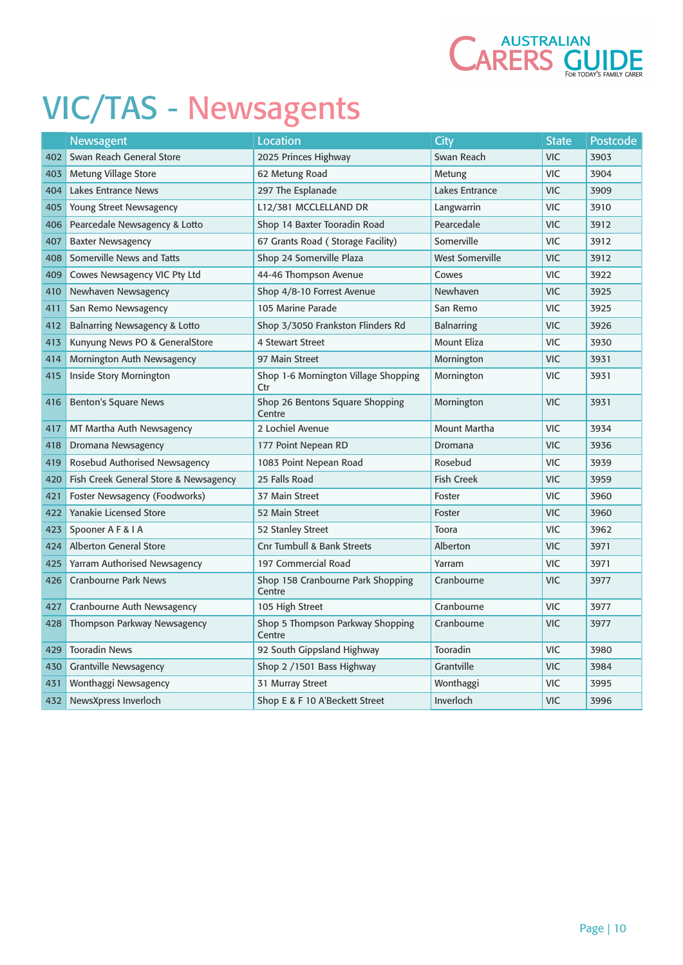

|     | Newsagent                                | Location                                    | City                   | <b>State</b> | Postcode |
|-----|------------------------------------------|---------------------------------------------|------------------------|--------------|----------|
| 402 | Swan Reach General Store                 | 2025 Princes Highway                        | Swan Reach             | <b>VIC</b>   | 3903     |
| 403 | Metung Village Store                     | 62 Metung Road                              | Metung                 | <b>VIC</b>   | 3904     |
| 404 | Lakes Entrance News                      | 297 The Esplanade                           | Lakes Entrance         | <b>VIC</b>   | 3909     |
| 405 | Young Street Newsagency                  | L12/381 MCCLELLAND DR                       | Langwarrin             | <b>VIC</b>   | 3910     |
| 406 | Pearcedale Newsagency & Lotto            | Shop 14 Baxter Tooradin Road                | Pearcedale             | <b>VIC</b>   | 3912     |
| 407 | <b>Baxter Newsagency</b>                 | 67 Grants Road (Storage Facility)           | Somerville             | <b>VIC</b>   | 3912     |
| 408 | Somerville News and Tatts                | Shop 24 Somerville Plaza                    | <b>West Somerville</b> | <b>VIC</b>   | 3912     |
| 409 | Cowes Newsagency VIC Pty Ltd             | 44-46 Thompson Avenue                       | Cowes                  | <b>VIC</b>   | 3922     |
| 410 | Newhaven Newsagency                      | Shop 4/8-10 Forrest Avenue                  | Newhaven               | <b>VIC</b>   | 3925     |
| 411 | San Remo Newsagency                      | 105 Marine Parade                           | San Remo               | <b>VIC</b>   | 3925     |
| 412 | <b>Balnarring Newsagency &amp; Lotto</b> | Shop 3/3050 Frankston Flinders Rd           | <b>Balnarring</b>      | <b>VIC</b>   | 3926     |
| 413 | Kunyung News PO & GeneralStore           | <b>4 Stewart Street</b>                     | <b>Mount Eliza</b>     | <b>VIC</b>   | 3930     |
| 414 | Mornington Auth Newsagency               | 97 Main Street                              | Mornington             | <b>VIC</b>   | 3931     |
| 415 | Inside Story Mornington                  | Shop 1-6 Mornington Village Shopping<br>Ctr | Mornington             | <b>VIC</b>   | 3931     |
| 416 | <b>Benton's Square News</b>              | Shop 26 Bentons Square Shopping<br>Centre   | Mornington             | <b>VIC</b>   | 3931     |
| 417 | MT Martha Auth Newsagency                | 2 Lochiel Avenue                            | Mount Martha           | <b>VIC</b>   | 3934     |
| 418 | Dromana Newsagency                       | 177 Point Nepean RD                         | Dromana                | <b>VIC</b>   | 3936     |
| 419 | Rosebud Authorised Newsagency            | 1083 Point Nepean Road                      | Rosebud                | <b>VIC</b>   | 3939     |
| 420 | Fish Creek General Store & Newsagency    | 25 Falls Road                               | <b>Fish Creek</b>      | <b>VIC</b>   | 3959     |
| 421 | Foster Newsagency (Foodworks)            | 37 Main Street                              | Foster                 | <b>VIC</b>   | 3960     |
| 422 | <b>Yanakie Licensed Store</b>            | 52 Main Street                              | Foster                 | <b>VIC</b>   | 3960     |
| 423 | Spooner A F & I A                        | 52 Stanley Street                           | Toora                  | <b>VIC</b>   | 3962     |
| 424 | <b>Alberton General Store</b>            | <b>Cnr Tumbull &amp; Bank Streets</b>       | Alberton               | <b>VIC</b>   | 3971     |
| 425 | Yarram Authorised Newsagency             | 197 Commercial Road                         | Yarram                 | <b>VIC</b>   | 3971     |
| 426 | <b>Cranbourne Park News</b>              | Shop 158 Cranbourne Park Shopping<br>Centre | Cranbourne             | <b>VIC</b>   | 3977     |
| 427 | Cranbourne Auth Newsagency               | 105 High Street                             | Cranbourne             | <b>VIC</b>   | 3977     |
| 428 | Thompson Parkway Newsagency              | Shop 5 Thompson Parkway Shopping<br>Centre  | Cranbourne             | <b>VIC</b>   | 3977     |
| 429 | <b>Tooradin News</b>                     | 92 South Gippsland Highway                  | Tooradin               | <b>VIC</b>   | 3980     |
| 430 | <b>Grantville Newsagency</b>             | Shop 2 / 1501 Bass Highway                  | Grantville             | <b>VIC</b>   | 3984     |
| 431 | Wonthaggi Newsagency                     | 31 Murray Street                            | Wonthaggi              | <b>VIC</b>   | 3995     |
| 432 | NewsXpress Inverloch                     | Shop E & F 10 A'Beckett Street              | Inverloch              | <b>VIC</b>   | 3996     |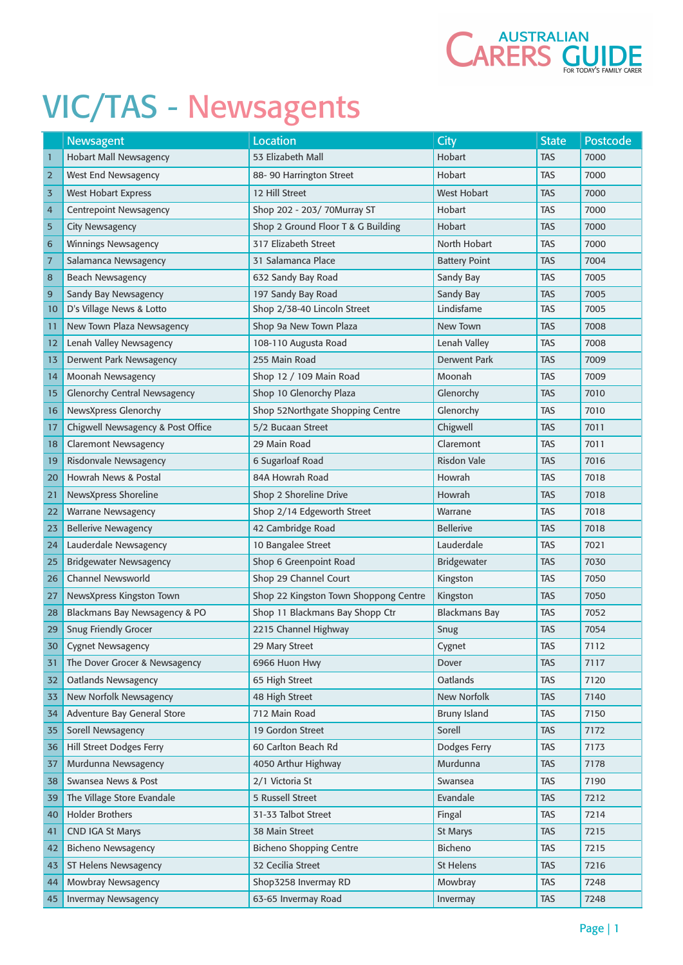

|                | Newsagent                           | <b>Location</b>                       | <b>City</b>          | <b>State</b> | Postcode |
|----------------|-------------------------------------|---------------------------------------|----------------------|--------------|----------|
| $\mathbf{1}$   | <b>Hobart Mall Newsagency</b>       | 53 Elizabeth Mall                     | Hobart               | <b>TAS</b>   | 7000     |
| $\overline{2}$ | West End Newsagency                 | 88-90 Harrington Street               | Hobart               | <b>TAS</b>   | 7000     |
| 3              | <b>West Hobart Express</b>          | 12 Hill Street                        | West Hobart          | <b>TAS</b>   | 7000     |
| 4              | <b>Centrepoint Newsagency</b>       | Shop 202 - 203/ 70Murray ST           | Hobart               | <b>TAS</b>   | 7000     |
| 5              | <b>City Newsagency</b>              | Shop 2 Ground Floor T & G Building    | Hobart               | <b>TAS</b>   | 7000     |
| 6              | <b>Winnings Newsagency</b>          | 317 Elizabeth Street                  | North Hobart         | <b>TAS</b>   | 7000     |
| $\overline{7}$ | Salamanca Newsagency                | 31 Salamanca Place                    | <b>Battery Point</b> | <b>TAS</b>   | 7004     |
| 8              | <b>Beach Newsagency</b>             | 632 Sandy Bay Road                    | Sandy Bay            | <b>TAS</b>   | 7005     |
| 9              | Sandy Bay Newsagency                | 197 Sandy Bay Road                    | Sandy Bay            | <b>TAS</b>   | 7005     |
| 10             | D's Village News & Lotto            | Shop 2/38-40 Lincoln Street           | Lindisfame           | <b>TAS</b>   | 7005     |
| 11             | New Town Plaza Newsagency           | Shop 9a New Town Plaza                | New Town             | <b>TAS</b>   | 7008     |
| 12             | Lenah Valley Newsagency             | 108-110 Augusta Road                  | Lenah Valley         | <b>TAS</b>   | 7008     |
| 13             | Derwent Park Newsagency             | 255 Main Road                         | <b>Derwent Park</b>  | <b>TAS</b>   | 7009     |
| 14             | Moonah Newsagency                   | Shop 12 / 109 Main Road               | Moonah               | <b>TAS</b>   | 7009     |
| 15             | <b>Glenorchy Central Newsagency</b> | Shop 10 Glenorchy Plaza               | Glenorchy            | <b>TAS</b>   | 7010     |
| 16             | NewsXpress Glenorchy                | Shop 52Northgate Shopping Centre      | Glenorchy            | <b>TAS</b>   | 7010     |
| 17             | Chigwell Newsagency & Post Office   | 5/2 Bucaan Street                     | Chigwell             | <b>TAS</b>   | 7011     |
| 18             | <b>Claremont Newsagency</b>         | 29 Main Road                          | Claremont            | <b>TAS</b>   | 7011     |
| 19             | Risdonvale Newsagency               | 6 Sugarloaf Road                      | <b>Risdon Vale</b>   | <b>TAS</b>   | 7016     |
| 20             | Howrah News & Postal                | 84A Howrah Road                       | Howrah               | <b>TAS</b>   | 7018     |
| 21             | NewsXpress Shoreline                | Shop 2 Shoreline Drive                | Howrah               | <b>TAS</b>   | 7018     |
| 22             | <b>Warrane Newsagency</b>           | Shop 2/14 Edgeworth Street            | Warrane              | <b>TAS</b>   | 7018     |
| 23             | <b>Bellerive Newagency</b>          | 42 Cambridge Road                     | <b>Bellerive</b>     | <b>TAS</b>   | 7018     |
| 24             | Lauderdale Newsagency               | 10 Bangalee Street                    | Lauderdale           | <b>TAS</b>   | 7021     |
| 25             | <b>Bridgewater Newsagency</b>       | Shop 6 Greenpoint Road                | Bridgewater          | <b>TAS</b>   | 7030     |
| 26             | <b>Channel Newsworld</b>            | Shop 29 Channel Court                 | Kingston             | <b>TAS</b>   | 7050     |
| 27             | NewsXpress Kingston Town            | Shop 22 Kingston Town Shoppong Centre | Kingston             | <b>TAS</b>   | 7050     |
| 28             | Blackmans Bay Newsagency & PO       | Shop 11 Blackmans Bay Shopp Ctr       | <b>Blackmans Bay</b> | <b>TAS</b>   | 7052     |
| 29             | <b>Snug Friendly Grocer</b>         | 2215 Channel Highway                  | Snug                 | <b>TAS</b>   | 7054     |
| 30             | <b>Cygnet Newsagency</b>            | 29 Mary Street                        | Cygnet               | <b>TAS</b>   | 7112     |
| 31             | The Dover Grocer & Newsagency       | 6966 Huon Hwy                         | Dover                | <b>TAS</b>   | 7117     |
| 32             | <b>Oatlands Newsagency</b>          | 65 High Street                        | Oatlands             | <b>TAS</b>   | 7120     |
| 33             | New Norfolk Newsagency              | 48 High Street                        | New Norfolk          | <b>TAS</b>   | 7140     |
| 34             | Adventure Bay General Store         | 712 Main Road                         | <b>Bruny Island</b>  | <b>TAS</b>   | 7150     |
| 35             | Sorell Newsagency                   | 19 Gordon Street                      | Sorell               | <b>TAS</b>   | 7172     |
| 36             | Hill Street Dodges Ferry            | 60 Carlton Beach Rd                   | Dodges Ferry         | <b>TAS</b>   | 7173     |
| 37             | Murdunna Newsagency                 | 4050 Arthur Highway                   | Murdunna             | <b>TAS</b>   | 7178     |
| 38             | Swansea News & Post                 | 2/1 Victoria St                       | Swansea              | <b>TAS</b>   | 7190     |
| 39             | The Village Store Evandale          | 5 Russell Street                      | Evandale             | <b>TAS</b>   | 7212     |
| 40             | <b>Holder Brothers</b>              | 31-33 Talbot Street                   | Fingal               | <b>TAS</b>   | 7214     |
| 41             | <b>CND IGA St Marys</b>             | 38 Main Street                        | <b>St Marys</b>      | <b>TAS</b>   | 7215     |
| 42             | <b>Bicheno Newsagency</b>           | <b>Bicheno Shopping Centre</b>        | <b>Bicheno</b>       | <b>TAS</b>   | 7215     |
| 43             | ST Helens Newsagency                | 32 Cecilia Street                     | <b>St Helens</b>     | <b>TAS</b>   | 7216     |
| 44             | Mowbray Newsagency                  | Shop3258 Invermay RD                  | Mowbray              | <b>TAS</b>   | 7248     |
| 45             | <b>Invermay Newsagency</b>          | 63-65 Invermay Road                   | Invermay             | <b>TAS</b>   | 7248     |